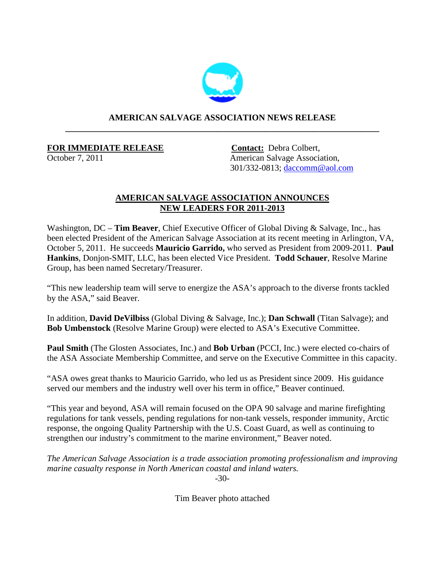

## **AMERICAN SALVAGE ASSOCIATION NEWS RELEASE \_\_\_\_\_\_\_\_\_\_\_\_\_\_\_\_\_\_\_\_\_\_\_\_\_\_\_\_\_\_\_\_\_\_\_\_\_\_\_\_\_\_\_\_\_\_\_\_\_\_\_\_\_\_\_\_\_\_\_\_\_\_\_\_\_\_\_\_\_\_\_\_**

## **FOR IMMEDIATE RELEASE Contact:** Debra Colbert,

October 7, 2011 American Salvage Association, 301/332-0813; [daccomm@aol.com](mailto:daccomm@aol.com)

## **AMERICAN SALVAGE ASSOCIATION ANNOUNCES NEW LEADERS FOR 2011-2013**

Washington, DC – **Tim Beaver**, Chief Executive Officer of Global Diving & Salvage, Inc., has been elected President of the American Salvage Association at its recent meeting in Arlington, VA, October 5, 2011. He succeeds **Mauricio Garrido,** who served as President from 2009-2011. **Paul Hankins**, Donjon-SMIT, LLC, has been elected Vice President. **Todd Schauer**, Resolve Marine Group, has been named Secretary/Treasurer.

"This new leadership team will serve to energize the ASA's approach to the diverse fronts tackled by the ASA," said Beaver.

In addition, **David DeVilbiss** (Global Diving & Salvage, Inc.); **Dan Schwall** (Titan Salvage); and **Bob Umbenstock** (Resolve Marine Group) were elected to ASA's Executive Committee.

**Paul Smith** (The Glosten Associates, Inc.) and **Bob Urban** (PCCI, Inc.) were elected co-chairs of the ASA Associate Membership Committee, and serve on the Executive Committee in this capacity.

"ASA owes great thanks to Mauricio Garrido, who led us as President since 2009. His guidance served our members and the industry well over his term in office," Beaver continued.

"This year and beyond, ASA will remain focused on the OPA 90 salvage and marine firefighting regulations for tank vessels, pending regulations for non-tank vessels, responder immunity, Arctic response, the ongoing Quality Partnership with the U.S. Coast Guard, as well as continuing to strengthen our industry's commitment to the marine environment," Beaver noted.

*The American Salvage Association is a trade association promoting professionalism and improving marine casualty response in North American coastal and inland waters.*

-30-

Tim Beaver photo attached